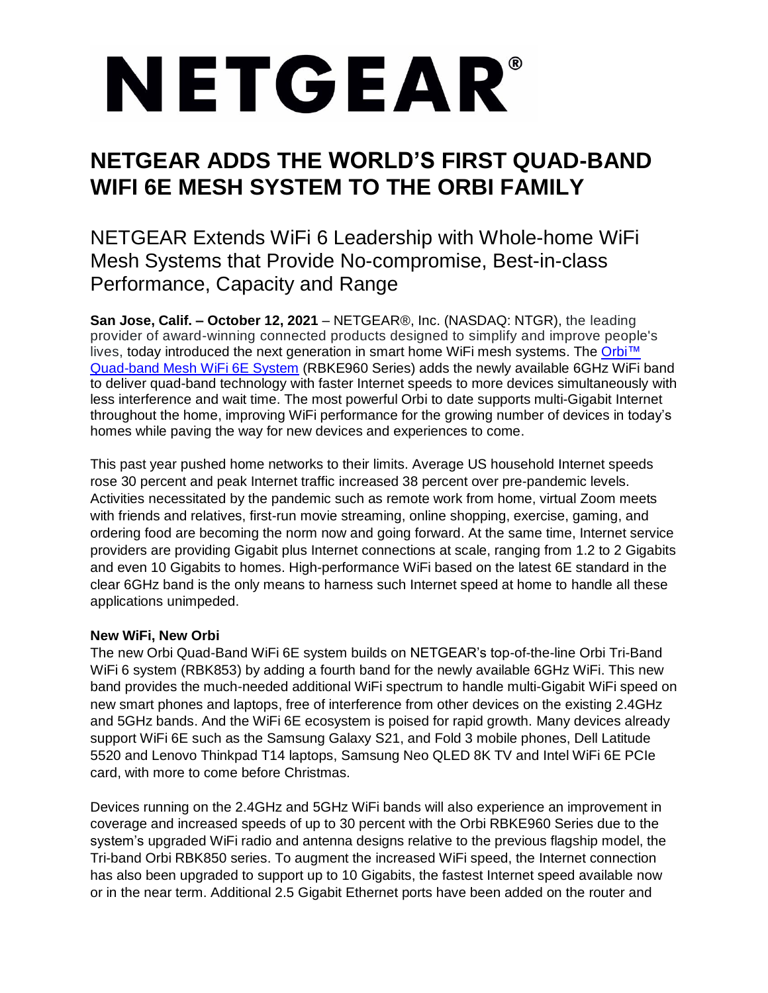# NETGEAR®

## **NETGEAR ADDS THE WORLD'S FIRST QUAD-BAND WIFI 6E MESH SYSTEM TO THE ORBI FAMILY**

NETGEAR Extends WiFi 6 Leadership with Whole-home WiFi Mesh Systems that Provide No-compromise, Best-in-class Performance, Capacity and Range

**San Jose, Calif. – October 12, 2021** – NETGEAR®, Inc. (NASDAQ: NTGR), the leading provider of award-winning connected products designed to simplify and improve people's lives, today introduced the next generation in smart home WiFi mesh systems. The [Orbi™](https://www.netgear.com/home/wifi/best-wifi/) [Quad-band Mesh WiFi](https://www.netgear.com/home/wifi/best-wifi/) 6E System (RBKE960 Series) adds the newly available 6GHz WiFi band to deliver quad-band technology with faster Internet speeds to more devices simultaneously with less interference and wait time. The most powerful Orbi to date supports multi-Gigabit Internet throughout the home, improving WiFi performance for the growing number of devices in today's homes while paving the way for new devices and experiences to come.

This past year pushed home networks to their limits. Average US household Internet speeds rose 30 percent and peak Internet traffic increased 38 percent over pre-pandemic levels. Activities necessitated by the pandemic such as remote work from home, virtual Zoom meets with friends and relatives, first-run movie streaming, online shopping, exercise, gaming, and ordering food are becoming the norm now and going forward. At the same time, Internet service providers are providing Gigabit plus Internet connections at scale, ranging from 1.2 to 2 Gigabits and even 10 Gigabits to homes. High-performance WiFi based on the latest 6E standard in the clear 6GHz band is the only means to harness such Internet speed at home to handle all these applications unimpeded.

### **New WiFi, New Orbi**

The new Orbi Quad-Band WiFi 6E system builds on NETGEAR's top-of-the-line Orbi Tri-Band WiFi 6 system (RBK853) by adding a fourth band for the newly available 6GHz WiFi. This new band provides the much-needed additional WiFi spectrum to handle multi-Gigabit WiFi speed on new smart phones and laptops, free of interference from other devices on the existing 2.4GHz and 5GHz bands. And the WiFi 6E ecosystem is poised for rapid growth. Many devices already support WiFi 6E such as the Samsung Galaxy S21, and Fold 3 mobile phones, Dell Latitude 5520 and Lenovo Thinkpad T14 laptops, Samsung Neo QLED 8K TV and Intel WiFi 6E PCIe card, with more to come before Christmas.

Devices running on the 2.4GHz and 5GHz WiFi bands will also experience an improvement in coverage and increased speeds of up to 30 percent with the Orbi RBKE960 Series due to the system's upgraded WiFi radio and antenna designs relative to the previous flagship model, the Tri-band Orbi RBK850 series. To augment the increased WiFi speed, the Internet connection has also been upgraded to support up to 10 Gigabits, the fastest Internet speed available now or in the near term. Additional 2.5 Gigabit Ethernet ports have been added on the router and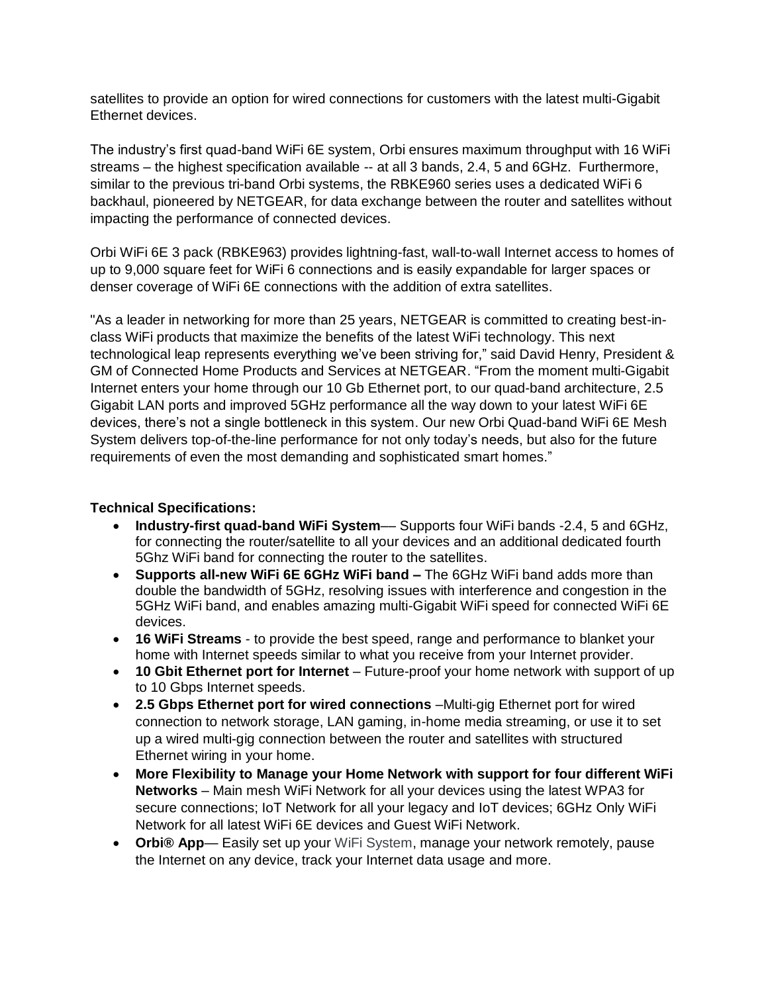satellites to provide an option for wired connections for customers with the latest multi-Gigabit Ethernet devices.

The industry's first quad-band WiFi 6E system, Orbi ensures maximum throughput with 16 WiFi streams – the highest specification available -- at all 3 bands, 2.4, 5 and 6GHz. Furthermore, similar to the previous tri-band Orbi systems, the RBKE960 series uses a dedicated WiFi 6 backhaul, pioneered by NETGEAR, for data exchange between the router and satellites without impacting the performance of connected devices.

Orbi WiFi 6E 3 pack (RBKE963) provides lightning-fast, wall-to-wall Internet access to homes of up to 9,000 square feet for WiFi 6 connections and is easily expandable for larger spaces or denser coverage of WiFi 6E connections with the addition of extra satellites.

"As a leader in networking for more than 25 years, NETGEAR is committed to creating best-inclass WiFi products that maximize the benefits of the latest WiFi technology. This next technological leap represents everything we've been striving for," said David Henry, President & GM of Connected Home Products and Services at NETGEAR. "From the moment multi-Gigabit Internet enters your home through our 10 Gb Ethernet port, to our quad-band architecture, 2.5 Gigabit LAN ports and improved 5GHz performance all the way down to your latest WiFi 6E devices, there's not a single bottleneck in this system. Our new Orbi Quad-band WiFi 6E Mesh System delivers top-of-the-line performance for not only today's needs, but also for the future requirements of even the most demanding and sophisticated smart homes."

#### **Technical Specifications:**

- **Industry-first quad-band WiFi System**–– Supports four WiFi bands -2.4, 5 and 6GHz, for connecting the router/satellite to all your devices and an additional dedicated fourth 5Ghz WiFi band for connecting the router to the satellites.
- **Supports all-new WiFi 6E 6GHz WiFi band –** The 6GHz WiFi band adds more than double the bandwidth of 5GHz, resolving issues with interference and congestion in the 5GHz WiFi band, and enables amazing multi-Gigabit WiFi speed for connected WiFi 6E devices.
- **16 WiFi Streams** to provide the best speed, range and performance to blanket your home with Internet speeds similar to what you receive from your Internet provider.
- **10 Gbit Ethernet port for Internet** Future-proof your home network with support of up to 10 Gbps Internet speeds.
- **2.5 Gbps Ethernet port for wired connections** –Multi-gig Ethernet port for wired connection to network storage, LAN gaming, in-home media streaming, or use it to set up a wired multi-gig connection between the router and satellites with structured Ethernet wiring in your home.
- **More Flexibility to Manage your Home Network with support for four different WiFi Networks** – Main mesh WiFi Network for all your devices using the latest WPA3 for secure connections; IoT Network for all your legacy and IoT devices; 6GHz Only WiFi Network for all latest WiFi 6E devices and Guest WiFi Network.
- **Orbi® App** Easily set up your WiFi System, manage your network remotely, pause the Internet on any device, track your Internet data usage and more.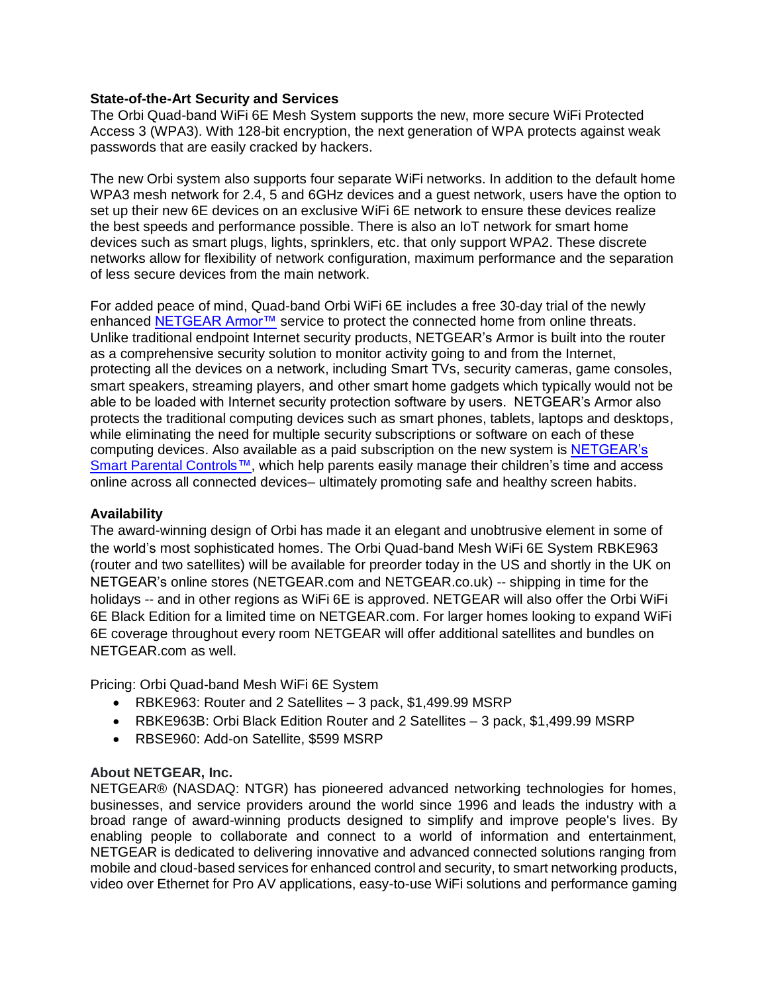#### **State-of-the-Art Security and Services**

The Orbi Quad-band WiFi 6E Mesh System supports the new, more secure WiFi Protected Access 3 (WPA3). With 128-bit encryption, the next generation of WPA protects against weak passwords that are easily cracked by hackers.

The new Orbi system also supports four separate WiFi networks. In addition to the default home WPA3 mesh network for 2.4, 5 and 6GHz devices and a guest network, users have the option to set up their new 6E devices on an exclusive WiFi 6E network to ensure these devices realize the best speeds and performance possible. There is also an IoT network for smart home devices such as smart plugs, lights, sprinklers, etc. that only support WPA2. These discrete networks allow for flexibility of network configuration, maximum performance and the separation of less secure devices from the main network.

For added peace of mind, Quad-band Orbi WiFi 6E includes a free 30-day trial of the newly enhanced [NETGEAR Armor™](https://www.netgear.com/home/services/armor/) service to protect the connected home from online threats. Unlike traditional endpoint Internet security products, NETGEAR's Armor is built into the router as a comprehensive security solution to monitor activity going to and from the Internet, protecting all the devices on a network, including Smart TVs, security cameras, game consoles, smart speakers, streaming players, and other smart home gadgets which typically would not be able to be loaded with Internet security protection software by users. NETGEAR's Armor also protects the traditional computing devices such as smart phones, tablets, laptops and desktops, while eliminating the need for multiple security subscriptions or software on each of these computing devices. Also available as a paid subscription on the new system is [NETGEAR's](https://www.netgear.com/home/services/smart-parental-controls/)  [Smart Parental Controls](https://www.netgear.com/home/services/smart-parental-controls/)[™,](https://cts.businesswire.com/ct/CT?id=smartlink&url=https%3A%2F%2Fwww.netgear.com%2Fhome%2Fservices%2Fsmart-parental-controls%2F&esheet=52434703&newsitemid=20210524005824&lan=en-US&anchor=NETGEAR+Smart+Parental+Controls%26%238482%3B&index=1&md5=dba4876b9d2123ad3e5a6f9a56e0b658) which help parents easily manage their children's time and access online across all connected devices– ultimately promoting safe and healthy screen habits.

#### **Availability**

The award-winning design of Orbi has made it an elegant and unobtrusive element in some of the world's most sophisticated homes. The Orbi Quad-band Mesh WiFi 6E System RBKE963 (router and two satellites) will be available for preorder today in the US and shortly in the UK on NETGEAR's online stores (NETGEAR.com and NETGEAR.co.uk) -- shipping in time for the holidays -- and in other regions as WiFi 6E is approved. NETGEAR will also offer the Orbi WiFi 6E Black Edition for a limited time on NETGEAR.com. For larger homes looking to expand WiFi 6E coverage throughout every room NETGEAR will offer additional satellites and bundles on NETGEAR.com as well.

Pricing: Orbi Quad-band Mesh WiFi 6E System

- RBKE963: Router and 2 Satellites 3 pack, \$1,499.99 MSRP
- RBKE963B: Orbi Black Edition Router and 2 Satellites 3 pack, \$1,499.99 MSRP
- RBSE960: Add-on Satellite, \$599 MSRP

#### **About NETGEAR, Inc.**

NETGEAR® (NASDAQ: NTGR) has pioneered advanced networking technologies for homes, businesses, and service providers around the world since 1996 and leads the industry with a broad range of award-winning products designed to simplify and improve people's lives. By enabling people to collaborate and connect to a world of information and entertainment, NETGEAR is dedicated to delivering innovative and advanced connected solutions ranging from mobile and cloud-based services for enhanced control and security, to smart networking products, video over Ethernet for Pro AV applications, easy-to-use WiFi solutions and performance gaming